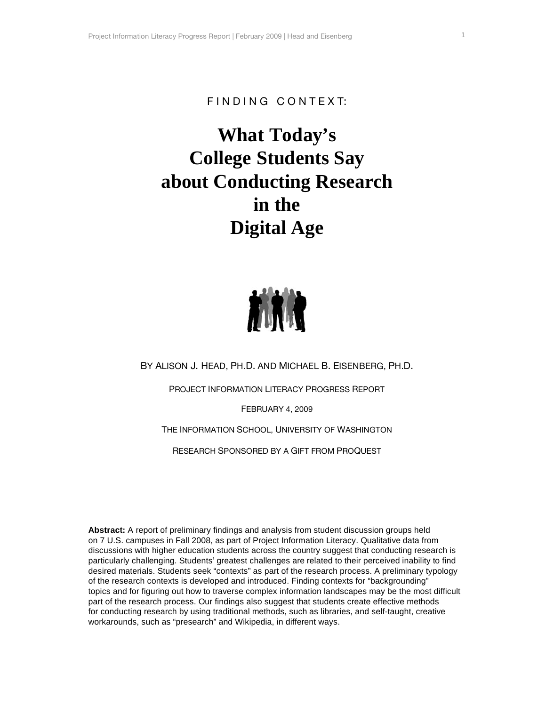# FINDING CONTEXT:

# **What Today's College Students Say about Conducting Research in the Digital Age**



BY ALISON J. HEAD, PH.D. AND MICHAEL B. EISENBERG, PH.D.

PROJECT INFORMATION LITERACY PROGRESS REPORT

FEBRUARY 4, 2009

THE INFORMATION SCHOOL, UNIVERSITY OF WASHINGTON

RESEARCH SPONSORED BY A GIFT FROM PROQUEST

**Abstract:** A report of preliminary findings and analysis from student discussion groups held on 7 U.S. campuses in Fall 2008, as part of Project Information Literacy. Qualitative data from discussions with higher education students across the country suggest that conducting research is particularly challenging. Students' greatest challenges are related to their perceived inability to find desired materials. Students seek "contexts" as part of the research process. A preliminary typology of the research contexts is developed and introduced. Finding contexts for "backgrounding" topics and for figuring out how to traverse complex information landscapes may be the most difficult part of the research process. Our findings also suggest that students create effective methods for conducting research by using traditional methods, such as libraries, and self-taught, creative workarounds, such as "presearch" and Wikipedia, in different ways.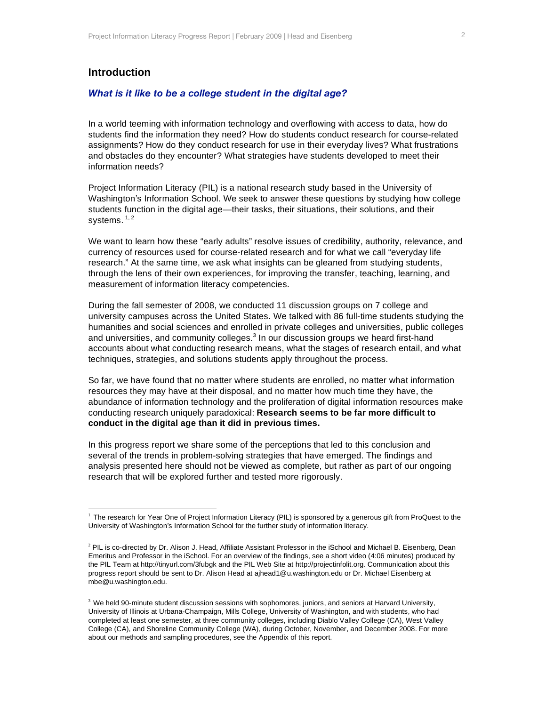# **Introduction**

#### *What is it like to be a college student in the digital age?*

In a world teeming with information technology and overflowing with access to data, how do students find the information they need? How do students conduct research for course-related assignments? How do they conduct research for use in their everyday lives? What frustrations and obstacles do they encounter? What strategies have students developed to meet their information needs?

Project Information Literacy (PIL) is a national research study based in the University of Washington's Information School. We seek to answer these questions by studying how college students function in the digital age—their tasks, their situations, their solutions, and their systems.  $^{\rm 1, \, 2}$ 

We want to learn how these "early adults" resolve issues of credibility, authority, relevance, and currency of resources used for course-related research and for what we call "everyday life research." At the same time, we ask what insights can be gleaned from studying students, through the lens of their own experiences, for improving the transfer, teaching, learning, and measurement of information literacy competencies.

During the fall semester of 2008, we conducted 11 discussion groups on 7 college and university campuses across the United States. We talked with 86 full-time students studying the humanities and social sciences and enrolled in private colleges and universities, public colleges and universities, and community colleges.<sup>3</sup> In our discussion groups we heard first-hand accounts about what conducting research means, what the stages of research entail, and what techniques, strategies, and solutions students apply throughout the process.

So far, we have found that no matter where students are enrolled, no matter what information resources they may have at their disposal, and no matter how much time they have, the abundance of information technology and the proliferation of digital information resources make conducting research uniquely paradoxical: **Research seems to be far more difficult to conduct in the digital age than it did in previous times.**

In this progress report we share some of the perceptions that led to this conclusion and several of the trends in problem-solving strategies that have emerged. The findings and analysis presented here should not be viewed as complete, but rather as part of our ongoing research that will be explored further and tested more rigorously.

<sup>&</sup>lt;sup>1</sup> The research for Year One of Project Information Literacy (PIL) is sponsored by a generous gift from ProQuest to the University of Washington's Information School for the further study of information literacy.

<sup>&</sup>lt;sup>2</sup> PIL is co-directed by Dr. Alison J. Head, Affiliate Assistant Professor in the iSchool and Michael B. Eisenberg, Dean Emeritus and Professor in the iSchool. For an overview of the findings, see a short video (4:06 minutes) produced by the PIL Team at http://tinyurl.com/3fubgk and the PIL Web Site at http://projectinfolit.org. Communication about this progress report should be sent to Dr. Alison Head at ajhead1@u.washington.edu or Dr. Michael Eisenberg at mbe@u.washington.edu.

<sup>&</sup>lt;sup>3</sup> We held 90-minute student discussion sessions with sophomores, juniors, and seniors at Harvard University, University of Illinois at Urbana-Champaign, Mills College, University of Washington, and with students, who had completed at least one semester, at three community colleges, including Diablo Valley College (CA), West Valley College (CA), and Shoreline Community College (WA), during October, November, and December 2008. For more about our methods and sampling procedures, see the Appendix of this report.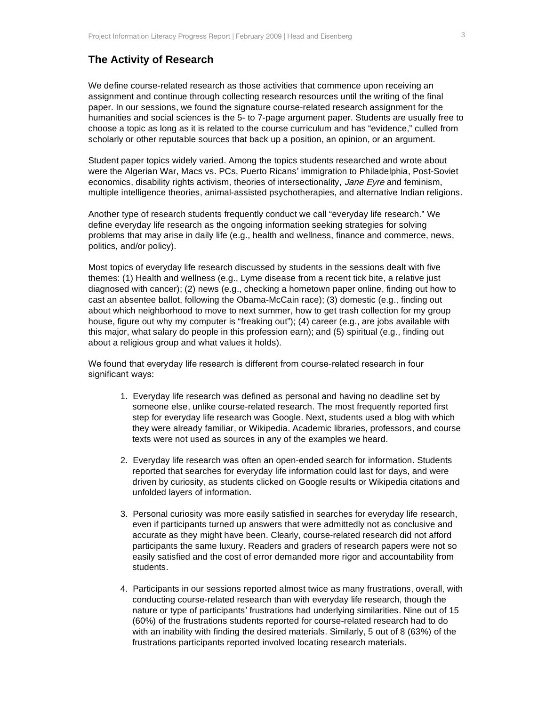## **The Activity of Research**

We define course-related research as those activities that commence upon receiving an assignment and continue through collecting research resources until the writing of the final paper. In our sessions, we found the signature course-related research assignment for the humanities and social sciences is the 5- to 7-page argument paper. Students are usually free to choose a topic as long as it is related to the course curriculum and has "evidence," culled from scholarly or other reputable sources that back up a position, an opinion, or an argument.

Student paper topics widely varied. Among the topics students researched and wrote about were the Algerian War, Macs vs. PCs, Puerto Ricans' immigration to Philadelphia, Post-Soviet economics, disability rights activism, theories of intersectionality, Jane Eyre and feminism, multiple intelligence theories, animal-assisted psychotherapies, and alternative Indian religions.

Another type of research students frequently conduct we call "everyday life research." We define everyday life research as the ongoing information seeking strategies for solving problems that may arise in daily life (e.g., health and wellness, finance and commerce, news, politics, and/or policy).

Most topics of everyday life research discussed by students in the sessions dealt with five themes: (1) Health and wellness (e.g., Lyme disease from a recent tick bite, a relative just diagnosed with cancer); (2) news (e.g., checking a hometown paper online, finding out how to cast an absentee ballot, following the Obama-McCain race); (3) domestic (e.g., finding out about which neighborhood to move to next summer, how to get trash collection for my group house, figure out why my computer is "freaking out"); (4) career (e.g., are jobs available with this major, what salary do people in this profession earn); and (5) spiritual (e.g., finding out about a religious group and what values it holds).

We found that everyday life research is different from course-related research in four significant ways:

- 1. Everyday life research was defined as personal and having no deadline set by someone else, unlike course-related research. The most frequently reported first step for everyday life research was Google. Next, students used a blog with which they were already familiar, or Wikipedia. Academic libraries, professors, and course texts were not used as sources in any of the examples we heard.
- 2. Everyday life research was often an open-ended search for information. Students reported that searches for everyday life information could last for days, and were driven by curiosity, as students clicked on Google results or Wikipedia citations and unfolded layers of information.
- 3. Personal curiosity was more easily satisfied in searches for everyday life research, even if participants turned up answers that were admittedly not as conclusive and accurate as they might have been. Clearly, course-related research did not afford participants the same luxury. Readers and graders of research papers were not so easily satisfied and the cost of error demanded more rigor and accountability from students.
- 4. Participants in our sessions reported almost twice as many frustrations, overall, with conducting course-related research than with everyday life research, though the nature or type of participants' frustrations had underlying similarities. Nine out of 15 (60%) of the frustrations students reported for course-related research had to do with an inability with finding the desired materials. Similarly, 5 out of 8 (63%) of the frustrations participants reported involved locating research materials.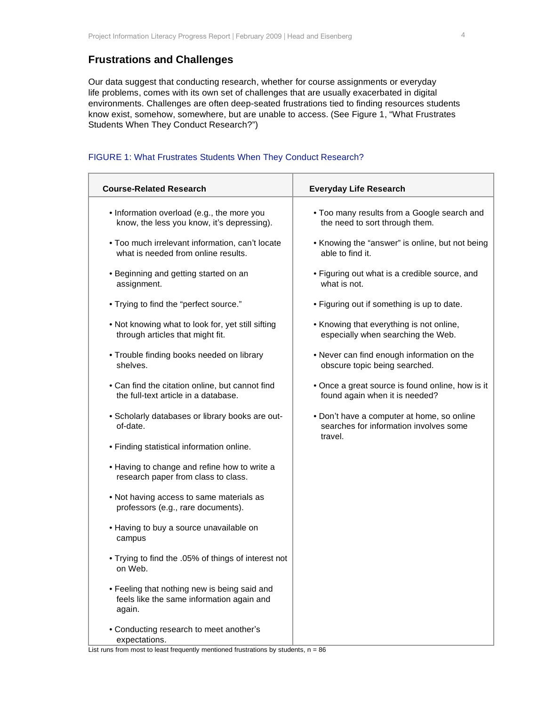# **Frustrations and Challenges**

Our data suggest that conducting research, whether for course assignments or everyday life problems, comes with its own set of challenges that are usually exacerbated in digital environments. Challenges are often deep-seated frustrations tied to finding resources students know exist, somehow, somewhere, but are unable to access. (See Figure 1, "What Frustrates Students When They Conduct Research?")

## FIGURE 1: What Frustrates Students When They Conduct Research?

| <b>Course-Related Research</b>                                                                      | <b>Everyday Life Research</b>                                                                   |  |  |
|-----------------------------------------------------------------------------------------------------|-------------------------------------------------------------------------------------------------|--|--|
| • Information overload (e.g., the more you<br>know, the less you know, it's depressing).            | . Too many results from a Google search and<br>the need to sort through them.                   |  |  |
| . Too much irrelevant information, can't locate<br>what is needed from online results.              | • Knowing the "answer" is online, but not being<br>able to find it.                             |  |  |
| • Beginning and getting started on an<br>assignment.                                                | • Figuring out what is a credible source, and<br>what is not.                                   |  |  |
| • Trying to find the "perfect source."                                                              | • Figuring out if something is up to date.                                                      |  |  |
| . Not knowing what to look for, yet still sifting<br>through articles that might fit.               | • Knowing that everything is not online,<br>especially when searching the Web.                  |  |  |
| • Trouble finding books needed on library<br>shelves.                                               | . Never can find enough information on the<br>obscure topic being searched.                     |  |  |
| • Can find the citation online, but cannot find<br>the full-text article in a database.             | • Once a great source is found online, how is it<br>found again when it is needed?              |  |  |
| • Scholarly databases or library books are out-<br>of-date.                                         | • Don't have a computer at home, so online<br>searches for information involves some<br>travel. |  |  |
| • Finding statistical information online.                                                           |                                                                                                 |  |  |
| • Having to change and refine how to write a<br>research paper from class to class.                 |                                                                                                 |  |  |
| . Not having access to same materials as<br>professors (e.g., rare documents).                      |                                                                                                 |  |  |
| • Having to buy a source unavailable on<br>campus                                                   |                                                                                                 |  |  |
| . Trying to find the .05% of things of interest not<br>on Web.                                      |                                                                                                 |  |  |
| • Feeling that nothing new is being said and<br>feels like the same information again and<br>again. |                                                                                                 |  |  |
| • Conducting research to meet another's<br>expectations.                                            |                                                                                                 |  |  |

List runs from most to least frequently mentioned frustrations by students,  $n = 86$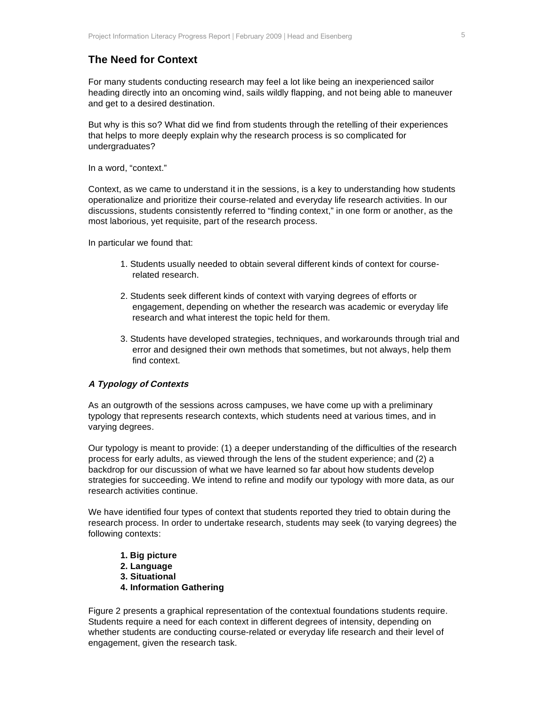# **The Need for Context**

For many students conducting research may feel a lot like being an inexperienced sailor heading directly into an oncoming wind, sails wildly flapping, and not being able to maneuver and get to a desired destination.

But why is this so? What did we find from students through the retelling of their experiences that helps to more deeply explain why the research process is so complicated for undergraduates?

In a word, "context."

Context, as we came to understand it in the sessions, is a key to understanding how students operationalize and prioritize their course-related and everyday life research activities. In our discussions, students consistently referred to "finding context," in one form or another, as the most laborious, yet requisite, part of the research process.

In particular we found that:

- 1. Students usually needed to obtain several different kinds of context for courserelated research.
- 2. Students seek different kinds of context with varying degrees of efforts or engagement, depending on whether the research was academic or everyday life research and what interest the topic held for them.
- 3. Students have developed strategies, techniques, and workarounds through trial and error and designed their own methods that sometimes, but not always, help them find context.

#### **A Typology of Contexts**

As an outgrowth of the sessions across campuses, we have come up with a preliminary typology that represents research contexts, which students need at various times, and in varying degrees.

Our typology is meant to provide: (1) a deeper understanding of the difficulties of the research process for early adults, as viewed through the lens of the student experience; and (2) a backdrop for our discussion of what we have learned so far about how students develop strategies for succeeding. We intend to refine and modify our typology with more data, as our research activities continue.

We have identified four types of context that students reported they tried to obtain during the research process. In order to undertake research, students may seek (to varying degrees) the following contexts:

- **1. Big picture**
- **2. Language**
- **3. Situational**
- **4. Information Gathering**

Figure 2 presents a graphical representation of the contextual foundations students require. Students require a need for each context in different degrees of intensity, depending on whether students are conducting course-related or everyday life research and their level of engagement, given the research task.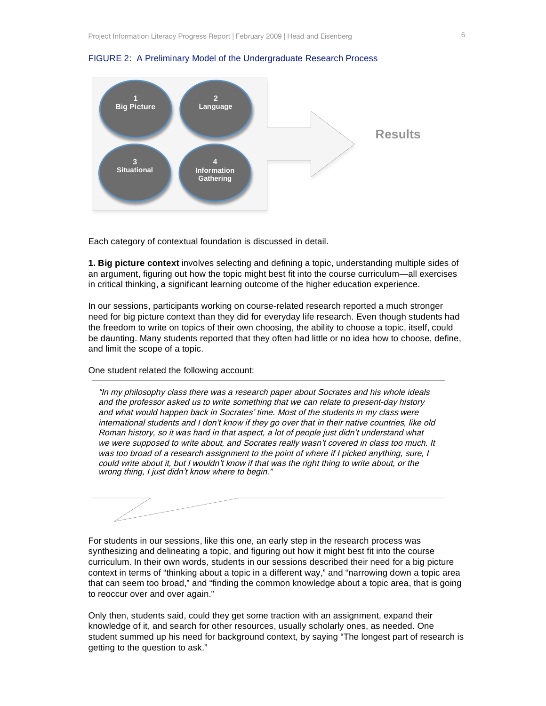

FIGURE 2: A Preliminary Model of the Undergraduate Research Process

Each category of contextual foundation is discussed in detail.

**1. Big picture context** involves selecting and defining a topic, understanding multiple sides of an argument, figuring out how the topic might best fit into the course curriculum—all exercises in critical thinking, a significant learning outcome of the higher education experience.

In our sessions, participants working on course-related research reported a much stronger need for big picture context than they did for everyday life research. Even though students had the freedom to write on topics of their own choosing, the ability to choose a topic, itself, could be daunting. Many students reported that they often had little or no idea how to choose, define, and limit the scope of a topic.

One student related the following account:

"In my philosophy class there was a research paper about Socrates and his whole ideals and the professor asked us to write something that we can relate to present-day history and what would happen back in Socrates' time. Most of the students in my class were international students and I don't know if they go over that in their native countries, like old Roman history, so it was hard in that aspect, a lot of people just didn't understand what we were supposed to write about, and Socrates really wasn't covered in class too much. It was too broad of a research assignment to the point of where if I picked anything, sure, I could write about it, but I wouldn't know if that was the right thing to write about, or the wrong thing, I just didn't know where to begin."

For students in our sessions, like this one, an early step in the research process was synthesizing and delineating a topic, and figuring out how it might best fit into the course curriculum. In their own words, students in our sessions described their need for a big picture context in terms of "thinking about a topic in a different way," and "narrowing down a topic area that can seem too broad," and "finding the common knowledge about a topic area, that is going to reoccur over and over again."

Only then, students said, could they get some traction with an assignment, expand their knowledge of it, and search for other resources, usually scholarly ones, as needed. One student summed up his need for background context, by saying "The longest part of research is getting to the question to ask."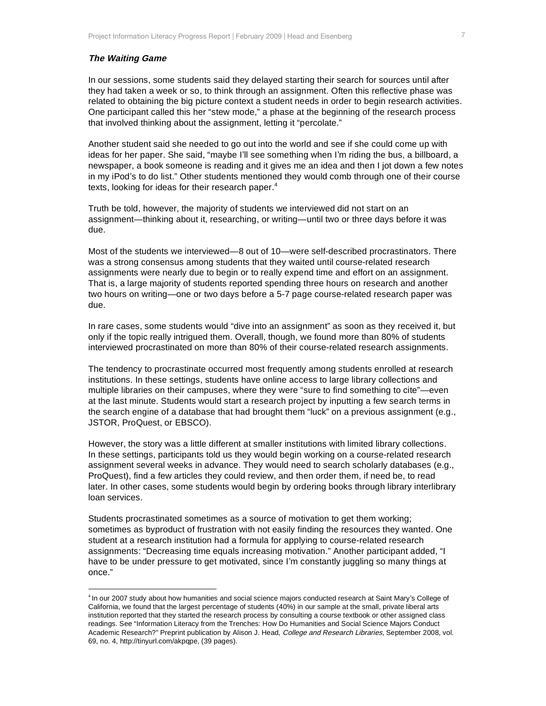#### **The Waiting Game**

In our sessions, some students said they delayed starting their search for sources until after they had taken a week or so, to think through an assignment. Often this reflective phase was related to obtaining the big picture context a student needs in order to begin research activities. One participant called this her "stew mode," a phase at the beginning of the research process that involved thinking about the assignment, letting it "percolate."

Another student said she needed to go out into the world and see if she could come up with ideas for her paper. She said, "maybe I'll see something when I'm riding the bus, a billboard, a newspaper, a book someone is reading and it gives me an idea and then I jot down a few notes in my iPod's to do list." Other students mentioned they would comb through one of their course texts, looking for ideas for their research paper.<sup>4</sup>

Truth be told, however, the majority of students we interviewed did not start on an assignment—thinking about it, researching, or writing—until two or three days before it was due.

Most of the students we interviewed—8 out of 10—were self-described procrastinators. There was a strong consensus among students that they waited until course-related research assignments were nearly due to begin or to really expend time and effort on an assignment. That is, a large majority of students reported spending three hours on research and another two hours on writing—one or two days before a 5-7 page course-related research paper was due.

In rare cases, some students would "dive into an assignment" as soon as they received it, but only if the topic really intrigued them. Overall, though, we found more than 80% of students interviewed procrastinated on more than 80% of their course-related research assignments.

The tendency to procrastinate occurred most frequently among students enrolled at research institutions. In these settings, students have online access to large library collections and multiple libraries on their campuses, where they were "sure to find something to cite"—even at the last minute. Students would start a research project by inputting a few search terms in the search engine of a database that had brought them "luck" on a previous assignment (e.g., JSTOR, ProQuest, or EBSCO).

However, the story was a little different at smaller institutions with limited library collections. In these settings, participants told us they would begin working on a course-related research assignment several weeks in advance. They would need to search scholarly databases (e.g., ProQuest), find a few articles they could review, and then order them, if need be, to read later. In other cases, some students would begin by ordering books through library interlibrary loan services.

Students procrastinated sometimes as a source of motivation to get them working; sometimes as byproduct of frustration with not easily finding the resources they wanted. One student at a research institution had a formula for applying to course-related research assignments: "Decreasing time equals increasing motivation." Another participant added, "I have to be under pressure to get motivated, since I'm constantly juggling so many things at once."

 <sup>4</sup> In our 2007 study about how humanities and social science majors conducted research at Saint Mary's College of California, we found that the largest percentage of students (40%) in our sample at the small, private liberal arts institution reported that they started the research process by consulting a course textbook or other assigned class readings. See "Information Literacy from the Trenches: How Do Humanities and Social Science Majors Conduct Academic Research?" Preprint publication by Alison J. Head, College and Research Libraries, September 2008, vol. 69, no. 4, http://tinyurl.com/akpqpe, (39 pages).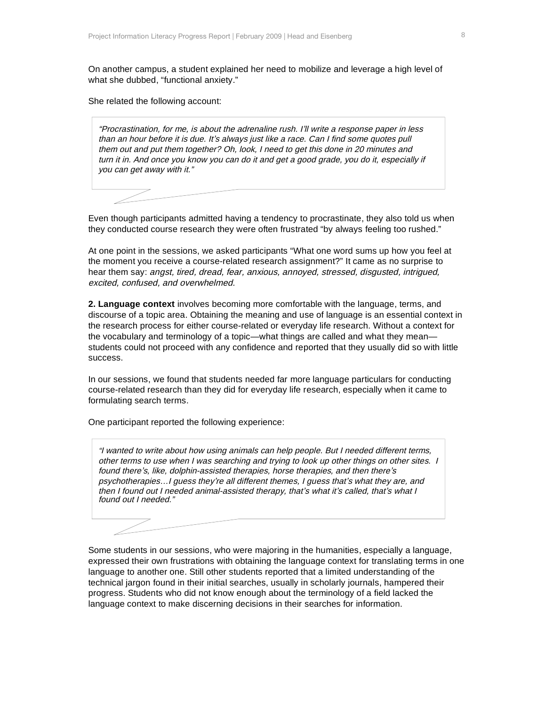On another campus, a student explained her need to mobilize and leverage a high level of what she dubbed, "functional anxiety."

She related the following account:

"Procrastination, for me, is about the adrenaline rush. I'll write a response paper in less than an hour before it is due. It's always just like a race. Can I find some quotes pull them out and put them together? Oh, look, I need to get this done in 20 minutes and turn it in. And once you know you can do it and get a good grade, you do it, especially if you can get away with it."

Even though participants admitted having a tendency to procrastinate, they also told us when they conducted course research they were often frustrated "by always feeling too rushed."

At one point in the sessions, we asked participants "What one word sums up how you feel at the moment you receive a course-related research assignment?" It came as no surprise to hear them say: angst, tired, dread, fear, anxious, annoyed, stressed, disgusted, intrigued, excited, confused, and overwhelmed.

**2. Language context** involves becoming more comfortable with the language, terms, and discourse of a topic area. Obtaining the meaning and use of language is an essential context in the research process for either course-related or everyday life research. Without a context for the vocabulary and terminology of a topic—what things are called and what they mean students could not proceed with any confidence and reported that they usually did so with little success.

In our sessions, we found that students needed far more language particulars for conducting course-related research than they did for everyday life research, especially when it came to formulating search terms.

One participant reported the following experience:

"I wanted to write about how using animals can help people. But I needed different terms, other terms to use when I was searching and trying to look up other things on other sites. I found there's, like, dolphin-assisted therapies, horse therapies, and then there'<sup>s</sup> psychotherapies…I guess they're all different themes, I guess that's what they are, and then I found out I needed animal-assisted therapy, that's what it's called, that's what I found out I needed."

Some students in our sessions, who were majoring in the humanities, especially a language, expressed their own frustrations with obtaining the language context for translating terms in one language to another one. Still other students reported that a limited understanding of the technical jargon found in their initial searches, usually in scholarly journals, hampered their progress. Students who did not know enough about the terminology of a field lacked the language context to make discerning decisions in their searches for information.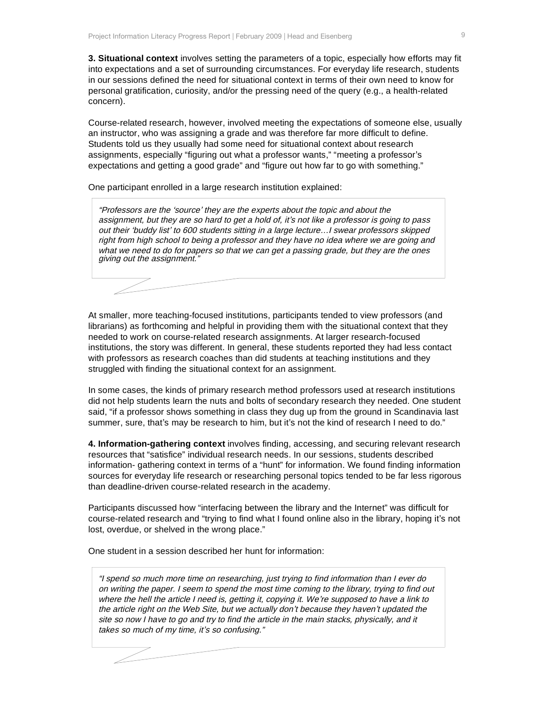**3. Situational context** involves setting the parameters of a topic, especially how efforts may fit into expectations and a set of surrounding circumstances. For everyday life research, students in our sessions defined the need for situational context in terms of their own need to know for personal gratification, curiosity, and/or the pressing need of the query (e.g., a health-related concern).

Course-related research, however, involved meeting the expectations of someone else, usually an instructor, who was assigning a grade and was therefore far more difficult to define. Students told us they usually had some need for situational context about research assignments, especially "figuring out what a professor wants," "meeting a professor's expectations and getting a good grade" and "figure out how far to go with something."

One participant enrolled in a large research institution explained:

"Professors are the 'source' they are the experts about the topic and about the assignment, but they are so hard to get a hold of, it's not like a professor is going to pass out their 'buddy list' to 600 students sitting in a large lecture…I swear professors skipped right from high school to being a professor and they have no idea where we are going and what we need to do for papers so that we can get a passing grade, but they are the ones giving out the assignment."

At smaller, more teaching-focused institutions, participants tended to view professors (and librarians) as forthcoming and helpful in providing them with the situational context that they needed to work on course-related research assignments. At larger research-focused institutions, the story was different. In general, these students reported they had less contact with professors as research coaches than did students at teaching institutions and they struggled with finding the situational context for an assignment.

In some cases, the kinds of primary research method professors used at research institutions did not help students learn the nuts and bolts of secondary research they needed. One student said, "if a professor shows something in class they dug up from the ground in Scandinavia last summer, sure, that's may be research to him, but it's not the kind of research I need to do."

**4. Information-gathering context** involves finding, accessing, and securing relevant research resources that "satisfice" individual research needs. In our sessions, students described information- gathering context in terms of a "hunt" for information. We found finding information sources for everyday life research or researching personal topics tended to be far less rigorous than deadline-driven course-related research in the academy.

Participants discussed how "interfacing between the library and the Internet" was difficult for course-related research and "trying to find what I found online also in the library, hoping it's not lost, overdue, or shelved in the wrong place."

One student in a session described her hunt for information:

"I spend so much more time on researching, just trying to find information than I ever do on writing the paper. I seem to spend the most time coming to the library, trying to find out where the hell the article I need is, getting it, copying it. We're supposed to have a link to the article right on the Web Site, but we actually don't because they haven't updated the site so now I have to go and try to find the article in the main stacks, physically, and it takes so much of my time, it's so confusing."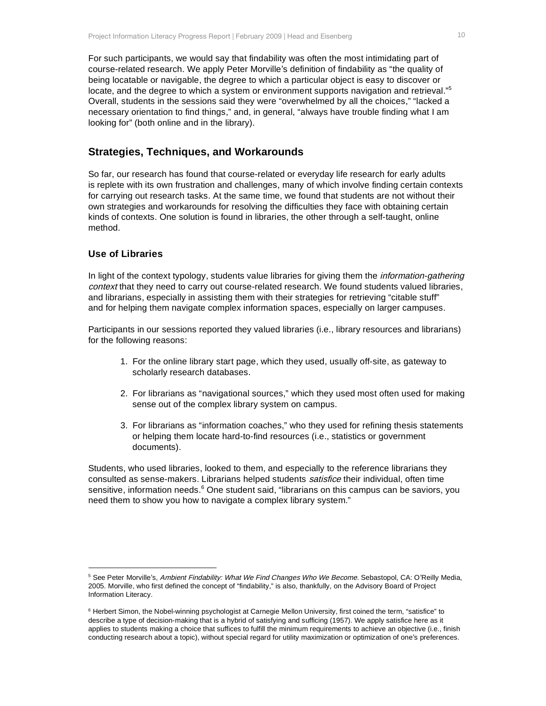For such participants, we would say that findability was often the most intimidating part of course-related research. We apply Peter Morville's definition of findability as "the quality of being locatable or navigable, the degree to which a particular object is easy to discover or locate, and the degree to which a system or environment supports navigation and retrieval."<sup>5</sup> Overall, students in the sessions said they were "overwhelmed by all the choices," "lacked a necessary orientation to find things," and, in general, "always have trouble finding what I am looking for" (both online and in the library).

## **Strategies, Techniques, and Workarounds**

So far, our research has found that course-related or everyday life research for early adults is replete with its own frustration and challenges, many of which involve finding certain contexts for carrying out research tasks. At the same time, we found that students are not without their own strategies and workarounds for resolving the difficulties they face with obtaining certain kinds of contexts. One solution is found in libraries, the other through a self-taught, online method.

#### **Use of Libraries**

 $\overline{a}$ 

In light of the context typology, students value libraries for giving them the *information-gathering* context that they need to carry out course-related research. We found students valued libraries, and librarians, especially in assisting them with their strategies for retrieving "citable stuff" and for helping them navigate complex information spaces, especially on larger campuses.

Participants in our sessions reported they valued libraries (i.e., library resources and librarians) for the following reasons:

- 1. For the online library start page, which they used, usually off-site, as gateway to scholarly research databases.
- 2. For librarians as "navigational sources," which they used most often used for making sense out of the complex library system on campus.
- 3. For librarians as "information coaches," who they used for refining thesis statements or helping them locate hard-to-find resources (i.e., statistics or government documents).

Students, who used libraries, looked to them, and especially to the reference librarians they consulted as sense-makers. Librarians helped students satisfice their individual, often time sensitive, information needs.<sup>6</sup> One student said, "librarians on this campus can be saviors, you need them to show you how to navigate a complex library system."

<sup>&</sup>lt;sup>5</sup> See Peter Morville's, Ambient Findability: What We Find Changes Who We Become. Sebastopol, CA: O'Reilly Media, 2005. Morville, who first defined the concept of "findability," is also, thankfully, on the Advisory Board of Project Information Literacy.

<sup>6</sup> Herbert Simon, the Nobel-winning psychologist at Carnegie Mellon University, first coined the term, "satisfice" to describe a type of decision-making that is a hybrid of satisfying and sufficing (1957). We apply satisfice here as it applies to students making a choice that suffices to fulfill the minimum requirements to achieve an objective (i.e., finish conducting research about a topic), without special regard for utility maximization or optimization of one's preferences.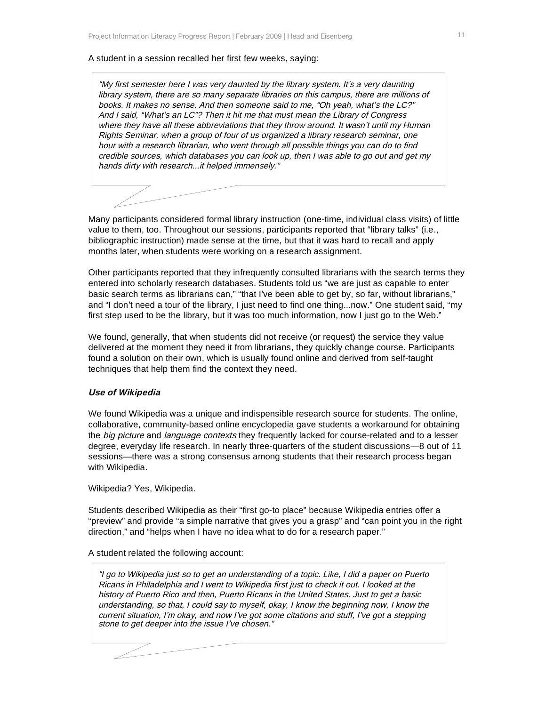#### A student in a session recalled her first few weeks, saying:

"My first semester here I was very daunted by the library system. It's a very daunting library system, there are so many separate libraries on this campus, there are millions of books. It makes no sense. And then someone said to me, "Oh yeah, what's the LC?" And I said, "What's an LC"? Then it hit me that must mean the Library of Congress where they have all these abbreviations that they throw around. It wasn't until my Human Rights Seminar, when a group of four of us organized a library research seminar, one hour with a research librarian, who went through all possible things you can do to find credible sources, which databases you can look up, then I was able to go out and get my hands dirty with research...it helped immensely."

Many participants considered formal library instruction (one-time, individual class visits) of little value to them, too. Throughout our sessions, participants reported that "library talks" (i.e., bibliographic instruction) made sense at the time, but that it was hard to recall and apply months later, when students were working on a research assignment.

Other participants reported that they infrequently consulted librarians with the search terms they entered into scholarly research databases. Students told us "we are just as capable to enter basic search terms as librarians can," "that I've been able to get by, so far, without librarians," and "I don't need a tour of the library, I just need to find one thing...now." One student said, "my first step used to be the library, but it was too much information, now I just go to the Web."

We found, generally, that when students did not receive (or request) the service they value delivered at the moment they need it from librarians, they quickly change course. Participants found a solution on their own, which is usually found online and derived from self-taught techniques that help them find the context they need.

#### **Use of Wikipedia**

We found Wikipedia was a unique and indispensible research source for students. The online, collaborative, community-based online encyclopedia gave students a workaround for obtaining the big picture and language contexts they frequently lacked for course-related and to a lesser degree, everyday life research. In nearly three-quarters of the student discussions—8 out of 11 sessions—there was a strong consensus among students that their research process began with Wikipedia.

Wikipedia? Yes, Wikipedia.

Students described Wikipedia as their "first go-to place" because Wikipedia entries offer a "preview" and provide "a simple narrative that gives you a grasp" and "can point you in the right direction," and "helps when I have no idea what to do for a research paper."

#### A student related the following account:

"I go to Wikipedia just so to get an understanding of a topic. Like, I did a paper on Puerto Ricans in Philadelphia and I went to Wikipedia first just to check it out. I looked at the history of Puerto Rico and then, Puerto Ricans in the United States. Just to get a basic understanding, so that, I could say to myself, okay, I know the beginning now, I know the current situation, I'm okay, and now I've got some citations and stuff, I've got a stepping stone to get deeper into the issue I've chosen."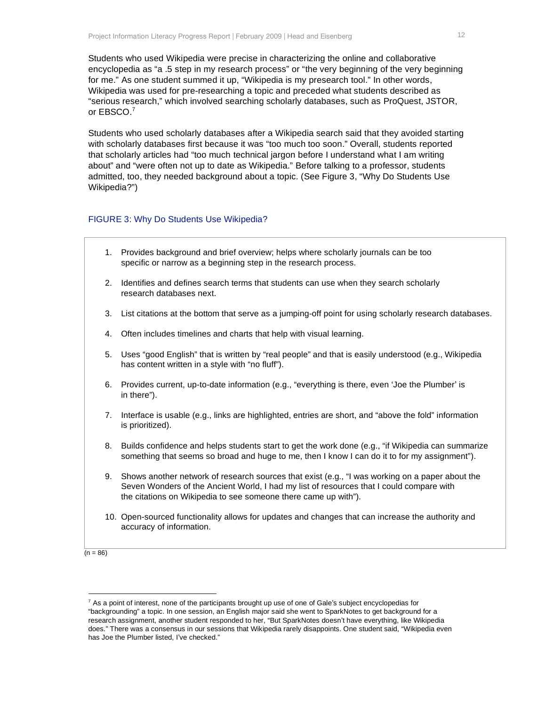Students who used Wikipedia were precise in characterizing the online and collaborative encyclopedia as "a .5 step in my research process" or "the very beginning of the very beginning for me." As one student summed it up, "Wikipedia is my presearch tool." In other words, Wikipedia was used for pre-researching a topic and preceded what students described as "serious research," which involved searching scholarly databases, such as ProQuest, JSTOR, or EBSCO.<sup>7</sup>

Students who used scholarly databases after a Wikipedia search said that they avoided starting with scholarly databases first because it was "too much too soon." Overall, students reported that scholarly articles had "too much technical jargon before I understand what I am writing about" and "were often not up to date as Wikipedia." Before talking to a professor, students admitted, too, they needed background about a topic. (See Figure 3, "Why Do Students Use Wikipedia?")

#### FIGURE 3: Why Do Students Use Wikipedia?

- 1. Provides background and brief overview; helps where scholarly journals can be too specific or narrow as a beginning step in the research process.
- 2. Identifies and defines search terms that students can use when they search scholarly research databases next.
- 3. List citations at the bottom that serve as a jumping-off point for using scholarly research databases.
- 4. Often includes timelines and charts that help with visual learning.
- 5. Uses "good English" that is written by "real people" and that is easily understood (e.g., Wikipedia has content written in a style with "no fluff").
- 6. Provides current, up-to-date information (e.g., "everything is there, even 'Joe the Plumber' is in there").
- 7. Interface is usable (e.g., links are highlighted, entries are short, and "above the fold" information is prioritized).
- 8. Builds confidence and helps students start to get the work done (e.g., "if Wikipedia can summarize something that seems so broad and huge to me, then I know I can do it to for my assignment").
- 9. Shows another network of research sources that exist (e.g., "I was working on a paper about the Seven Wonders of the Ancient World, I had my list of resources that I could compare with the citations on Wikipedia to see someone there came up with").
- 10. Open-sourced functionality allows for updates and changes that can increase the authority and accuracy of information.

 $(n = 86)$ 

 $\overline{a}$ 

 $7$  As a point of interest, none of the participants brought up use of one of Gale's subject encyclopedias for "backgrounding" a topic. In one session, an English major said she went to SparkNotes to get background for a research assignment, another student responded to her, "But SparkNotes doesn't have everything, like Wikipedia does." There was a consensus in our sessions that Wikipedia rarely disappoints. One student said, "Wikipedia even has Joe the Plumber listed, I've checked."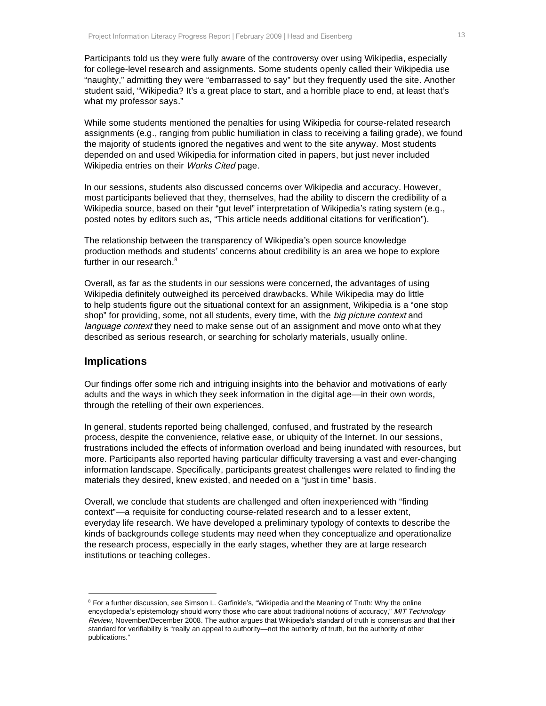Participants told us they were fully aware of the controversy over using Wikipedia, especially for college-level research and assignments. Some students openly called their Wikipedia use "naughty," admitting they were "embarrassed to say" but they frequently used the site. Another student said, "Wikipedia? It's a great place to start, and a horrible place to end, at least that's what my professor says."

While some students mentioned the penalties for using Wikipedia for course-related research assignments (e.g., ranging from public humiliation in class to receiving a failing grade), we found the majority of students ignored the negatives and went to the site anyway. Most students depended on and used Wikipedia for information cited in papers, but just never included Wikipedia entries on their Works Cited page.

In our sessions, students also discussed concerns over Wikipedia and accuracy. However, most participants believed that they, themselves, had the ability to discern the credibility of a Wikipedia source, based on their "gut level" interpretation of Wikipedia's rating system (e.g., posted notes by editors such as, "This article needs additional citations for verification").

The relationship between the transparency of Wikipedia's open source knowledge production methods and students' concerns about credibility is an area we hope to explore further in our research.<sup>8</sup>

Overall, as far as the students in our sessions were concerned, the advantages of using Wikipedia definitely outweighed its perceived drawbacks. While Wikipedia may do little to help students figure out the situational context for an assignment, Wikipedia is a "one stop shop" for providing, some, not all students, every time, with the *big picture context* and language context they need to make sense out of an assignment and move onto what they described as serious research, or searching for scholarly materials, usually online.

#### **Implications**

 $\overline{a}$ 

Our findings offer some rich and intriguing insights into the behavior and motivations of early adults and the ways in which they seek information in the digital age—in their own words, through the retelling of their own experiences.

In general, students reported being challenged, confused, and frustrated by the research process, despite the convenience, relative ease, or ubiquity of the Internet. In our sessions, frustrations included the effects of information overload and being inundated with resources, but more. Participants also reported having particular difficulty traversing a vast and ever-changing information landscape. Specifically, participants greatest challenges were related to finding the materials they desired, knew existed, and needed on a "just in time" basis.

Overall, we conclude that students are challenged and often inexperienced with "finding context"—a requisite for conducting course-related research and to a lesser extent, everyday life research. We have developed a preliminary typology of contexts to describe the kinds of backgrounds college students may need when they conceptualize and operationalize the research process, especially in the early stages, whether they are at large research institutions or teaching colleges.

<sup>&</sup>lt;sup>8</sup> For a further discussion, see Simson L. Garfinkle's, "Wikipedia and the Meaning of Truth: Why the online encyclopedia's epistemology should worry those who care about traditional notions of accuracy," MIT Technology Review, November/December 2008. The author argues that Wikipedia's standard of truth is consensus and that their standard for verifiability is "really an appeal to authority—not the authority of truth, but the authority of other publications."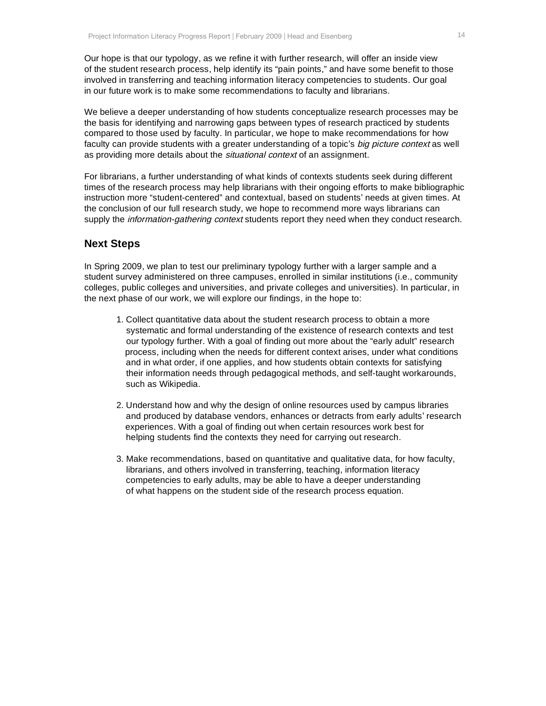Our hope is that our typology, as we refine it with further research, will offer an inside view of the student research process, help identify its "pain points," and have some benefit to those involved in transferring and teaching information literacy competencies to students. Our goal in our future work is to make some recommendations to faculty and librarians.

We believe a deeper understanding of how students conceptualize research processes may be the basis for identifying and narrowing gaps between types of research practiced by students compared to those used by faculty. In particular, we hope to make recommendations for how faculty can provide students with a greater understanding of a topic's big picture context as well as providing more details about the *situational context* of an assignment.

For librarians, a further understanding of what kinds of contexts students seek during different times of the research process may help librarians with their ongoing efforts to make bibliographic instruction more "student-centered" and contextual, based on students' needs at given times. At the conclusion of our full research study, we hope to recommend more ways librarians can supply the *information-gathering context* students report they need when they conduct research.

#### **Next Steps**

In Spring 2009, we plan to test our preliminary typology further with a larger sample and a student survey administered on three campuses, enrolled in similar institutions (i.e., community colleges, public colleges and universities, and private colleges and universities). In particular, in the next phase of our work, we will explore our findings, in the hope to:

- 1. Collect quantitative data about the student research process to obtain a more systematic and formal understanding of the existence of research contexts and test our typology further. With a goal of finding out more about the "early adult" research process, including when the needs for different context arises, under what conditions and in what order, if one applies, and how students obtain contexts for satisfying their information needs through pedagogical methods, and self-taught workarounds, such as Wikipedia.
- 2. Understand how and why the design of online resources used by campus libraries and produced by database vendors, enhances or detracts from early adults' research experiences. With a goal of finding out when certain resources work best for helping students find the contexts they need for carrying out research.
- 3. Make recommendations, based on quantitative and qualitative data, for how faculty, librarians, and others involved in transferring, teaching, information literacy competencies to early adults, may be able to have a deeper understanding of what happens on the student side of the research process equation.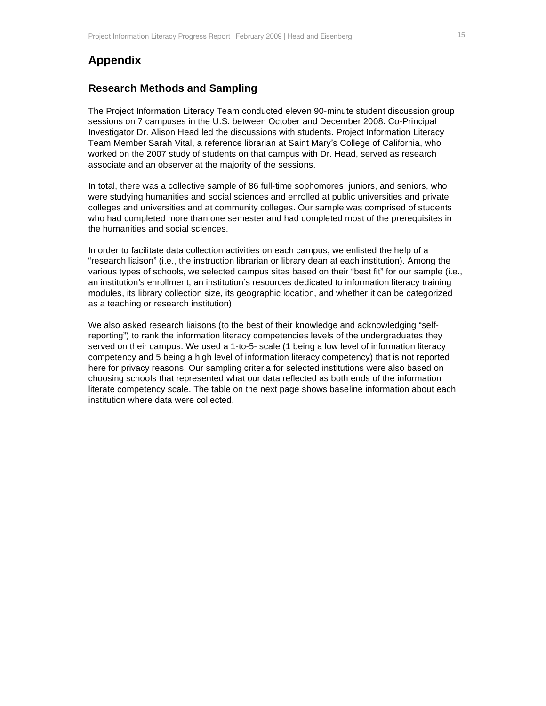# **Appendix**

## **Research Methods and Sampling**

The Project Information Literacy Team conducted eleven 90-minute student discussion group sessions on 7 campuses in the U.S. between October and December 2008. Co-Principal Investigator Dr. Alison Head led the discussions with students. Project Information Literacy Team Member Sarah Vital, a reference librarian at Saint Mary's College of California, who worked on the 2007 study of students on that campus with Dr. Head, served as research associate and an observer at the majority of the sessions.

In total, there was a collective sample of 86 full-time sophomores, juniors, and seniors, who were studying humanities and social sciences and enrolled at public universities and private colleges and universities and at community colleges. Our sample was comprised of students who had completed more than one semester and had completed most of the prerequisites in the humanities and social sciences.

In order to facilitate data collection activities on each campus, we enlisted the help of a "research liaison" (i.e., the instruction librarian or library dean at each institution). Among the various types of schools, we selected campus sites based on their "best fit" for our sample (i.e., an institution's enrollment, an institution's resources dedicated to information literacy training modules, its library collection size, its geographic location, and whether it can be categorized as a teaching or research institution).

We also asked research liaisons (to the best of their knowledge and acknowledging "selfreporting") to rank the information literacy competencies levels of the undergraduates they served on their campus. We used a 1-to-5- scale (1 being a low level of information literacy competency and 5 being a high level of information literacy competency) that is not reported here for privacy reasons. Our sampling criteria for selected institutions were also based on choosing schools that represented what our data reflected as both ends of the information literate competency scale. The table on the next page shows baseline information about each institution where data were collected.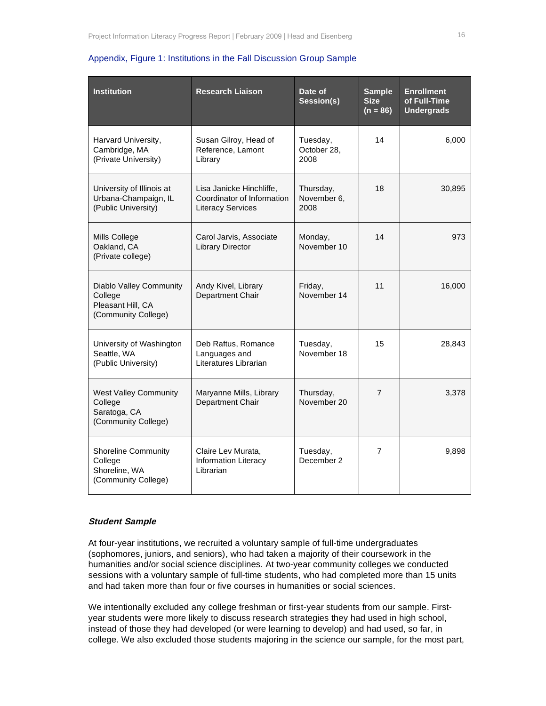| <b>Institution</b>                                                             | <b>Research Liaison</b>                                                            | Date of<br>Session(s)            | <b>Sample</b><br><b>Size</b><br>$(n = 86)$ | <b>Enrollment</b><br>of Full-Time<br><b>Undergrads</b> |
|--------------------------------------------------------------------------------|------------------------------------------------------------------------------------|----------------------------------|--------------------------------------------|--------------------------------------------------------|
| Harvard University,<br>Cambridge, MA<br>(Private University)                   | Susan Gilroy, Head of<br>Reference, Lamont<br>Library                              | Tuesday,<br>October 28,<br>2008  | 14                                         | 6,000                                                  |
| University of Illinois at<br>Urbana-Champaign, IL<br>(Public University)       | Lisa Janicke Hinchliffe,<br>Coordinator of Information<br><b>Literacy Services</b> | Thursday,<br>November 6,<br>2008 | 18                                         | 30,895                                                 |
| Mills College<br>Oakland, CA<br>(Private college)                              | Carol Jarvis, Associate<br><b>Library Director</b>                                 | Monday,<br>November 10           | 14                                         | 973                                                    |
| Diablo Valley Community<br>College<br>Pleasant Hill, CA<br>(Community College) | Andy Kivel, Library<br>Department Chair                                            | Friday,<br>November 14           | 11                                         | 16,000                                                 |
| University of Washington<br>Seattle, WA<br>(Public University)                 | Deb Raftus, Romance<br>Languages and<br>Literatures Librarian                      | Tuesday,<br>November 18          | 15                                         | 28,843                                                 |
| <b>West Valley Community</b><br>College<br>Saratoga, CA<br>(Community College) | Maryanne Mills, Library<br>Department Chair                                        | Thursday,<br>November 20         | $\overline{7}$                             | 3,378                                                  |
| <b>Shoreline Community</b><br>College<br>Shoreline, WA<br>(Community College)  | Claire Lev Murata,<br><b>Information Literacy</b><br>Librarian                     | Tuesday,<br>December 2           | $\overline{7}$                             | 9,898                                                  |

#### Appendix, Figure 1: Institutions in the Fall Discussion Group Sample

#### **Student Sample**

At four-year institutions, we recruited a voluntary sample of full-time undergraduates (sophomores, juniors, and seniors), who had taken a majority of their coursework in the humanities and/or social science disciplines. At two-year community colleges we conducted sessions with a voluntary sample of full-time students, who had completed more than 15 units and had taken more than four or five courses in humanities or social sciences.

We intentionally excluded any college freshman or first-year students from our sample. Firstyear students were more likely to discuss research strategies they had used in high school, instead of those they had developed (or were learning to develop) and had used, so far, in college. We also excluded those students majoring in the science our sample, for the most part,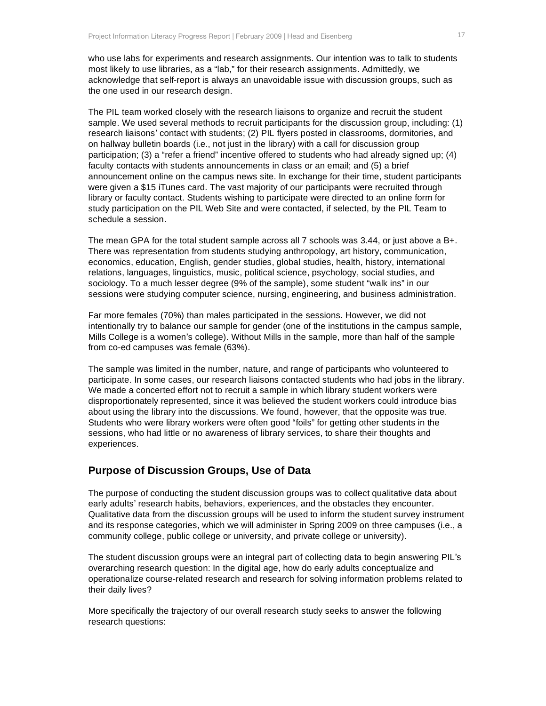who use labs for experiments and research assignments. Our intention was to talk to students most likely to use libraries, as a "lab," for their research assignments. Admittedly, we acknowledge that self-report is always an unavoidable issue with discussion groups, such as the one used in our research design.

The PIL team worked closely with the research liaisons to organize and recruit the student sample. We used several methods to recruit participants for the discussion group, including: (1) research liaisons' contact with students; (2) PIL flyers posted in classrooms, dormitories, and on hallway bulletin boards (i.e., not just in the library) with a call for discussion group participation; (3) a "refer a friend" incentive offered to students who had already signed up; (4) faculty contacts with students announcements in class or an email; and (5) a brief announcement online on the campus news site. In exchange for their time, student participants were given a \$15 iTunes card. The vast majority of our participants were recruited through library or faculty contact. Students wishing to participate were directed to an online form for study participation on the PIL Web Site and were contacted, if selected, by the PIL Team to schedule a session.

The mean GPA for the total student sample across all 7 schools was 3.44, or just above a B+. There was representation from students studying anthropology, art history, communication, economics, education, English, gender studies, global studies, health, history, international relations, languages, linguistics, music, political science, psychology, social studies, and sociology. To a much lesser degree (9% of the sample), some student "walk ins" in our sessions were studying computer science, nursing, engineering, and business administration.

Far more females (70%) than males participated in the sessions. However, we did not intentionally try to balance our sample for gender (one of the institutions in the campus sample, Mills College is a women's college). Without Mills in the sample, more than half of the sample from co-ed campuses was female (63%).

The sample was limited in the number, nature, and range of participants who volunteered to participate. In some cases, our research liaisons contacted students who had jobs in the library. We made a concerted effort not to recruit a sample in which library student workers were disproportionately represented, since it was believed the student workers could introduce bias about using the library into the discussions. We found, however, that the opposite was true. Students who were library workers were often good "foils" for getting other students in the sessions, who had little or no awareness of library services, to share their thoughts and experiences.

## **Purpose of Discussion Groups, Use of Data**

The purpose of conducting the student discussion groups was to collect qualitative data about early adults' research habits, behaviors, experiences, and the obstacles they encounter. Qualitative data from the discussion groups will be used to inform the student survey instrument and its response categories, which we will administer in Spring 2009 on three campuses (i.e., a community college, public college or university, and private college or university).

The student discussion groups were an integral part of collecting data to begin answering PIL's overarching research question: In the digital age, how do early adults conceptualize and operationalize course-related research and research for solving information problems related to their daily lives?

More specifically the trajectory of our overall research study seeks to answer the following research questions: